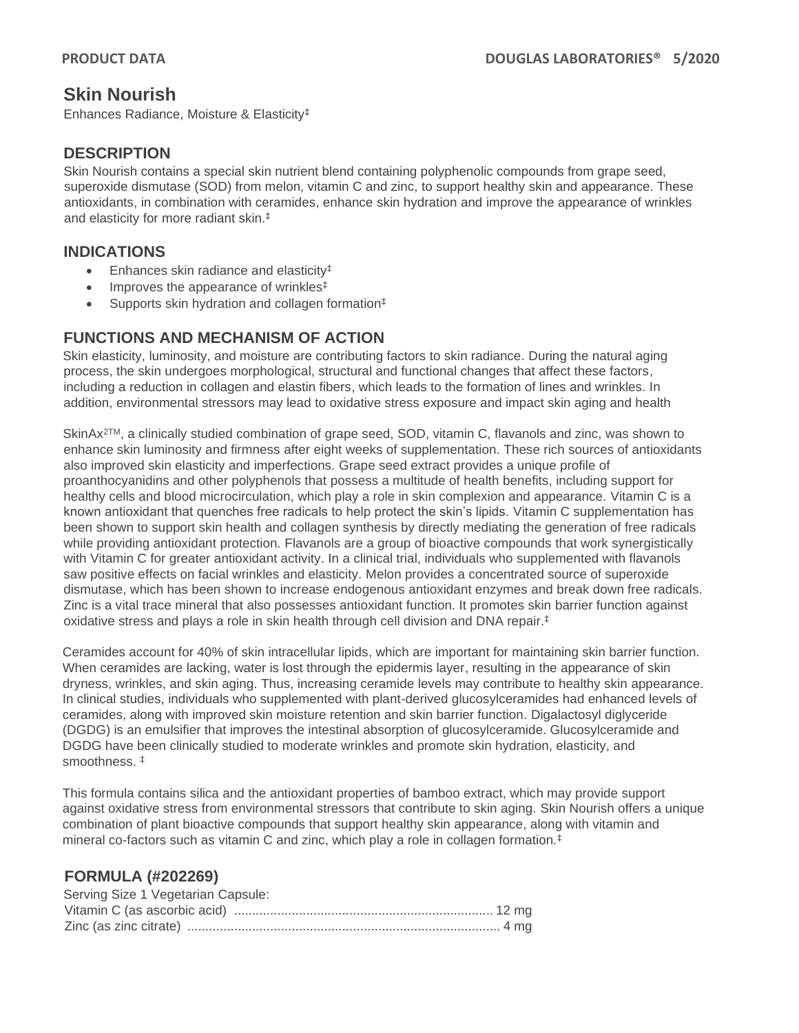# **Skin Nourish**

Enhances Radiance, Moisture & Elasticity‡

### **DESCRIPTION**

Skin Nourish contains a special skin nutrient blend containing polyphenolic compounds from grape seed, superoxide dismutase (SOD) from melon, vitamin C and zinc, to support healthy skin and appearance. These antioxidants, in combination with ceramides, enhance skin hydration and improve the appearance of wrinkles and elasticity for more radiant skin.‡

### **INDICATIONS**

- Enhances skin radiance and elasticity<sup>‡</sup>
- Improves the appearance of wrinkles<sup>‡</sup>
- Supports skin hydration and collagen formation<sup>‡</sup>

# **FUNCTIONS AND MECHANISM OF ACTION**

Skin elasticity, luminosity, and moisture are contributing factors to skin radiance. During the natural aging process, the skin undergoes morphological, structural and functional changes that affect these factors, including a reduction in collagen and elastin fibers, which leads to the formation of lines and wrinkles. In addition, environmental stressors may lead to oxidative stress exposure and impact skin aging and health

SkinAx2TM, a clinically studied combination of grape seed, SOD, vitamin C, flavanols and zinc, was shown to enhance skin luminosity and firmness after eight weeks of supplementation. These rich sources of antioxidants also improved skin elasticity and imperfections. Grape seed extract provides a unique profile of proanthocyanidins and other polyphenols that possess a multitude of health benefits, including support for healthy cells and blood microcirculation, which play a role in skin complexion and appearance. Vitamin C is a known antioxidant that quenches free radicals to help protect the skin's lipids. Vitamin C supplementation has been shown to support skin health and collagen synthesis by directly mediating the generation of free radicals while providing antioxidant protection. Flavanols are a group of bioactive compounds that work synergistically with Vitamin C for greater antioxidant activity. In a clinical trial, individuals who supplemented with flavanols saw positive effects on facial wrinkles and elasticity. Melon provides a concentrated source of superoxide dismutase, which has been shown to increase endogenous antioxidant enzymes and break down free radicals. Zinc is a vital trace mineral that also possesses antioxidant function. It promotes skin barrier function against oxidative stress and plays a role in skin health through cell division and DNA repair. ‡

Ceramides account for 40% of skin intracellular lipids, which are important for maintaining skin barrier function. When ceramides are lacking, water is lost through the epidermis layer, resulting in the appearance of skin dryness, wrinkles, and skin aging. Thus, increasing ceramide levels may contribute to healthy skin appearance. In clinical studies, individuals who supplemented with plant-derived glucosylceramides had enhanced levels of ceramides, along with improved skin moisture retention and skin barrier function. Digalactosyl diglyceride (DGDG) is an emulsifier that improves the intestinal absorption of glucosylceramide. Glucosylceramide and DGDG have been clinically studied to moderate wrinkles and promote skin hydration, elasticity, and smoothness. ‡

This formula contains silica and the antioxidant properties of bamboo extract, which may provide support against oxidative stress from environmental stressors that contribute to skin aging. Skin Nourish offers a unique combination of plant bioactive compounds that support healthy skin appearance, along with vitamin and mineral co-factors such as vitamin C and zinc, which play a role in collagen formation.‡

# **FORMULA (#202269)**

| Serving Size 1 Vegetarian Capsule: |  |
|------------------------------------|--|
|                                    |  |
|                                    |  |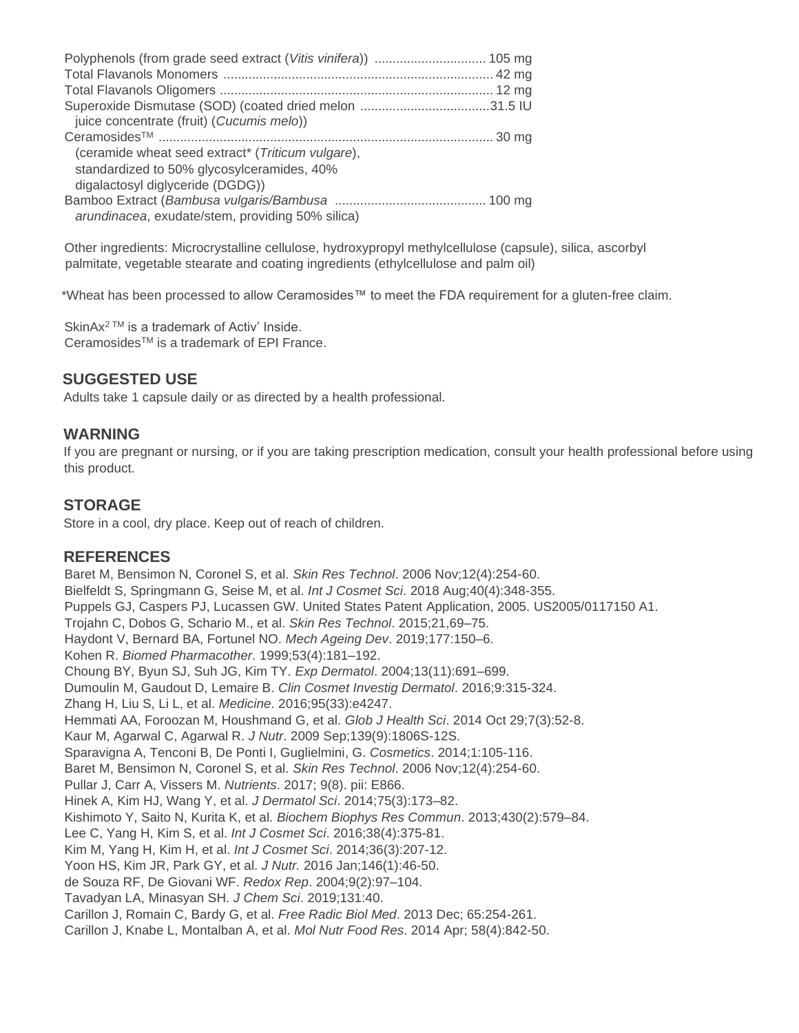| juice concentrate (fruit) (Cucumis melo))         |  |
|---------------------------------------------------|--|
|                                                   |  |
| (ceramide wheat seed extract* (Triticum vulgare), |  |
| standardized to 50% glycosylceramides, 40%        |  |
| digalactosyl diglyceride (DGDG))                  |  |
| arundinacea, exudate/stem, providing 50% silica)  |  |

Other ingredients: Microcrystalline cellulose, hydroxypropyl methylcellulose (capsule), silica, ascorbyl palmitate, vegetable stearate and coating ingredients (ethylcellulose and palm oil)

\*Wheat has been processed to allow Ceramosides™ to meet the FDA requirement for a gluten-free claim.

SkinAx<sup>2™</sup> is a trademark of Activ' Inside. CeramosidesTM is a trademark of EPI France.

# **SUGGESTED USE**

Adults take 1 capsule daily or as directed by a health professional.

#### **WARNING**

If you are pregnant or nursing, or if you are taking prescription medication, consult your health professional before using this product.

#### **STORAGE**

Store in a cool, dry place. Keep out of reach of children.

#### **REFERENCES**

Baret M, Bensimon N, Coronel S, et al. *Skin Res Technol*. 2006 Nov;12(4):254-60. Bielfeldt S, Springmann G, Seise M, et al. *Int J Cosmet Sci*. 2018 Aug;40(4):348-355. Puppels GJ, Caspers PJ, Lucassen GW. United States Patent Application, 2005. US2005/0117150 A1. Trojahn C, Dobos G, Schario M., et al. *Skin Res Technol*. 2015;21,69–75. Haydont V, Bernard BA, Fortunel NO. *Mech Ageing Dev*. 2019;177:150–6. Kohen R. *Biomed Pharmacother*. 1999;53(4):181–192. Choung BY, Byun SJ, Suh JG, Kim TY. *Exp Dermatol*. 2004;13(11):691–699. Dumoulin M, Gaudout D, Lemaire B. *Clin Cosmet Investig Dermatol*. 2016;9:315-324. Zhang H, Liu S, Li L, et al. *Medicine*. 2016;95(33):e4247. Hemmati AA, Foroozan M, Houshmand G, et al. *Glob J Health Sci*. 2014 Oct 29;7(3):52-8. Kaur M, Agarwal C, Agarwal R. *J Nutr*. 2009 Sep;139(9):1806S-12S. Sparavigna A, Tenconi B, De Ponti I, Guglielmini, G. *Cosmetics*. 2014;1:105-116. Baret M, Bensimon N, Coronel S, et al. *Skin Res Technol*. 2006 Nov;12(4):254-60. Pullar J, Carr A, Vissers M. *Nutrients*. 2017; 9(8). pii: E866. Hinek A, Kim HJ, Wang Y, et al. *J Dermatol Sci*. 2014;75(3):173–82. Kishimoto Y, Saito N, Kurita K, et al. *Biochem Biophys Res Commun*. 2013;430(2):579–84. Lee C, Yang H, Kim S, et al. *Int J Cosmet Sci*. 2016;38(4):375-81. Kim M, Yang H, Kim H, et al. *Int J Cosmet Sci*. 2014;36(3):207-12. Yoon HS, Kim JR, Park GY, et al. *J Nutr.* 2016 Jan;146(1):46-50. de Souza RF, De Giovani WF. *Redox Rep*. 2004;9(2):97–104. Tavadyan LA, Minasyan SH. *J Chem Sci*. 2019;131:40. Carillon J, Romain C, Bardy G, et al. *Free Radic Biol Med*. 2013 Dec; 65:254-261. Carillon J, Knabe L, Montalban A, et al. *Mol Nutr Food Res*. 2014 Apr; 58(4):842-50.